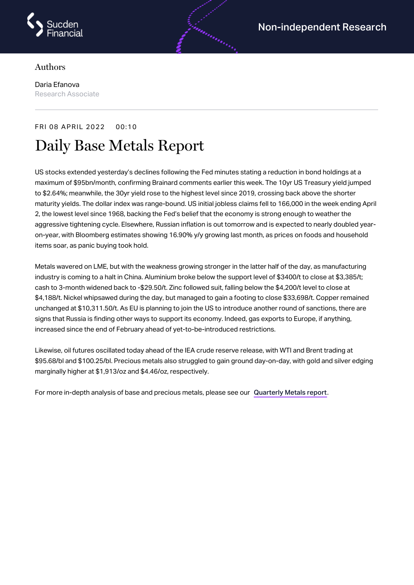

## Authors

Daria Efanova Research Associate

## FRI 08 APRIL 2022 00:10

## Daily Base Metals Report

US stocks extended yesterday's declines following the Fed minutes stating a reduction in bond holdings at a maximum of \$95bn/month, confirming Brainard comments earlier this week. The 10yr US Treasury yield jumped to \$2.64%; meanwhile, the 30yr yield rose to the highest level since 2019, crossing back above the shorter maturity yields. The dollar index was range-bound. US initial jobless claims fell to 166,000 in the week ending April 2, the lowest level since 1968, backing the Fed's belief that the economy is strong enough to weather the aggressive tightening cycle. Elsewhere, Russian inflation is out tomorrow and is expected to nearly doubled yearon-year, with Bloomberg estimates showing 16.90% y/y growing last month, as prices on foods and household items soar, as panic buying took hold.

Metals wavered on LME, but with the weakness growing stronger in the latter half of the day, as manufacturing industry is coming to a halt in China. Aluminium broke below the support level of \$3400/t to close at \$3,385/t; cash to 3-month widened back to -\$29.50/t. Zinc followed suit, falling below the \$4,200/t level to close at \$4,188/t. Nickel whipsawed during the day, but managed to gain a footing to close \$33,698/t. Copper remained unchanged at \$10,311.50/t. As EU is planning to join the US to introduce another round of sanctions, there are signs that Russia is finding other ways to support its economy. Indeed, gas exports to Europe, if anything, increased since the end of February ahead of yet-to-be-introduced restrictions.

Likewise, oil futures oscillated today ahead of the IEA crude reserve release, with WTI and Brent trading at \$95.68/bl and \$100.25/bl. Precious metals also struggled to gain ground day-on-day, with gold and silver edging marginally higher at \$1,913/oz and \$4.46/oz, respectively.

For more in-depth analysis of base and precious metals, please see our [Quarterly](https://www.sucdenfinancial.com/en/reports/quarterly-metals/qmr-q1-2022/) Metals report.